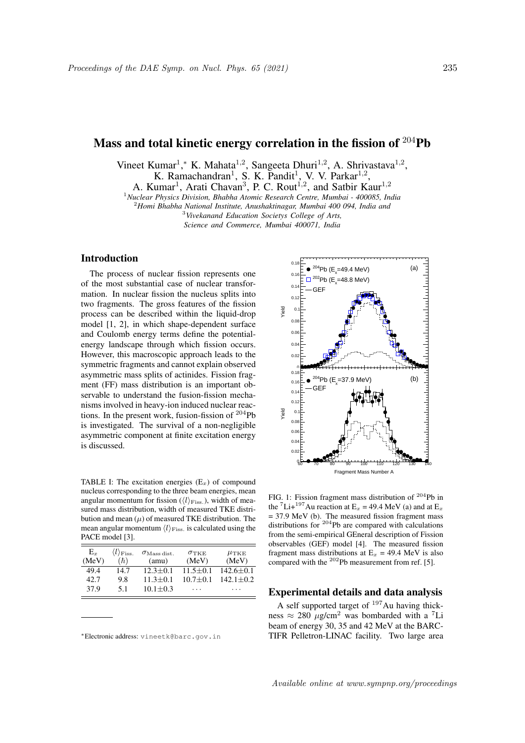# Mass and total kinetic energy correlation in the fission of <sup>204</sup>Pb

Vineet Kumar<sup>1</sup>,\* K. Mahata<sup>1,2</sup>, Sangeeta Dhuri<sup>1,2</sup>, A. Shrivastava<sup>1,2</sup>,

K. Ramachandran<sup>1</sup>, S. K. Pandit<sup>1</sup>, V. V. Parkar<sup>1,2</sup>,

A. Kumar<sup>1</sup>, Arati Chavan<sup>3</sup>, P. C. Rout<sup>1,2</sup>, and Satbir Kaur<sup>1,2</sup>

<sup>1</sup>*Nuclear Physics Division, Bhabha Atomic Research Centre, Mumbai - 400085, India*

<sup>2</sup>*Homi Bhabha National Institute, Anushaktinagar, Mumbai 400 094, India and*

<sup>3</sup>*Vivekanand Education Societys College of Arts,*

*Science and Commerce, Mumbai 400071, India*

## Introduction

The process of nuclear fission represents one of the most substantial case of nuclear transformation. In nuclear fission the nucleus splits into two fragments. The gross features of the fission process can be described within the liquid-drop model [1, 2], in which shape-dependent surface and Coulomb energy terms define the potentialenergy landscape through which fission occurs. However, this macroscopic approach leads to the symmetric fragments and cannot explain observed asymmetric mass splits of actinides. Fission fragment (FF) mass distribution is an important observable to understand the fusion-fission mechanisms involved in heavy-ion induced nuclear reactions. In the present work, fusion-fission of <sup>204</sup>Pb is investigated. The survival of a non-negligible asymmetric component at finite excitation energy is discussed.

TABLE I: The excitation energies  $(E_x)$  of compound nucleus corresponding to the three beam energies, mean angular momentum for fission  $(\langle l \rangle_{\text{Fiss}})$ , width of measured mass distribution, width of measured TKE distribution and mean  $(\mu)$  of measured TKE distribution. The mean angular momentum  $\langle l \rangle_{\text{Fiss}}$  is calculated using the PACE model [3].

| Е.,<br>(MeV) | $\langle l \rangle_{\rm Fiss.}$<br>$(\hbar)$ | $\sigma_{\rm Mass\,dist.}$<br>(amu) | $\sigma_{\rm TKE}$<br>(MeV) | $\mu_{\rm TKE}$<br>(MeV) |
|--------------|----------------------------------------------|-------------------------------------|-----------------------------|--------------------------|
| 49.4         | 14.7                                         | $12.3 + 0.1$                        | $11.5 + 0.1$                | $142.6 + 0.1$            |
| 42.7         | 9.8                                          | $11.3 + 0.1$                        | $10.7 + 0.1$                | $142.1 + 0.2$            |
| 37.9         | 51                                           | $10.1 + 0.3$                        | .                           | .                        |

<sup>∗</sup>Electronic address: vineetk@barc.gov.in



FIG. 1: Fission fragment mass distribution of <sup>204</sup>Pb in the <sup>7</sup>Li+<sup>197</sup>Au reaction at E<sub>x</sub> = 49.4 MeV (a) and at E<sub>x</sub>  $= 37.9$  MeV (b). The measured fission fragment mass distributions for <sup>204</sup>Pb are compared with calculations from the semi-empirical GEneral description of Fission observables (GEF) model [4]. The measured fission fragment mass distributions at  $E_x = 49.4$  MeV is also compared with the  $202$ Pb measurement from ref. [5].

## Experimental details and data analysis

A self supported target of  $197$ Au having thickness  $\approx 280 \mu$ g/cm<sup>2</sup> was bombarded with a <sup>7</sup>Li beam of energy 30, 35 and 42 MeV at the BARC-TIFR Pelletron-LINAC facility. Two large area